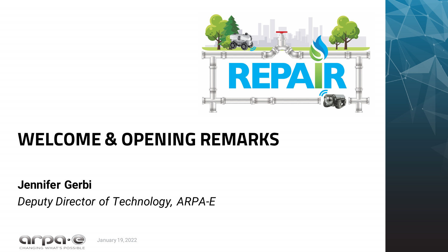

# **WELCOME & OPENING REMARKS**

**Jennifer Gerbi**

*Deputy Director of Technology, ARPA-E*



January 19, 2022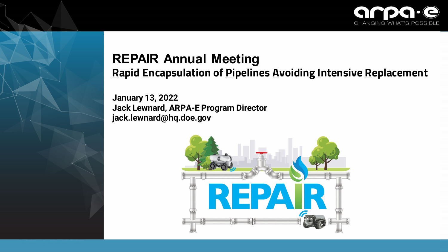

#### **REPAIR Annual Meeting Rapid Encapsulation of Pipelines Avoiding Intensive Replacement**

**January 13, 2022 Jack Lewnard, ARPA-E Program Director jack.lewnard@hq.doe.gov**

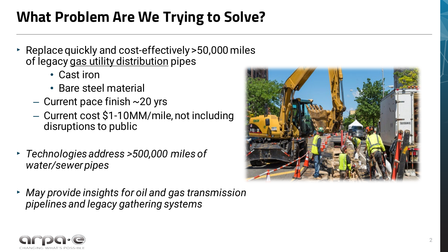## **What Problem Are We Trying to Solve?**

- ‣ Replace quickly and cost-effectively >50,000 miles of legacy gas utility distribution pipes
	- Cast iron
	- Bare steel material
	- $-$  Current pace finish  $\sim$  20 yrs
	- Current cost \$1-10MM/mile, not including disruptions to public
- ‣ *Technologies address >500,000 miles of water/sewer pipes*
- ‣ *May provide insights for oil and gas transmission pipelines and legacy gathering systems*



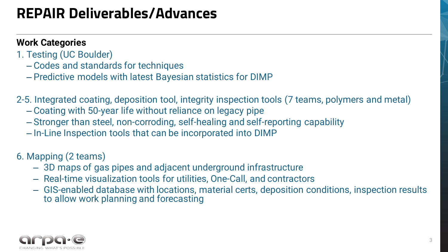## **REPAIR Deliverables/Advances**

#### **Work Categories**

- 1. Testing (UC Boulder)
	- Codes and standards for techniques
	- Predictive models with latest Bayesian statistics for DIMP
- 2-5. Integrated coating, deposition tool, integrity inspection tools (7 teams, polymers and metal)
	- Coating with 50-year life without reliance on legacy pipe
	- Stronger than steel, non-corroding, self-healing and self-reporting capability
	- In-Line Inspection tools that can be incorporated into DIMP

#### 6. Mapping (2 teams)

- 3D maps of gas pipes and adjacent underground infrastructure
- Real-time visualization tools for utilities, One-Call, and contractors
- GIS-enabled database with locations, material certs, deposition conditions, inspection results to allow work planning and forecasting

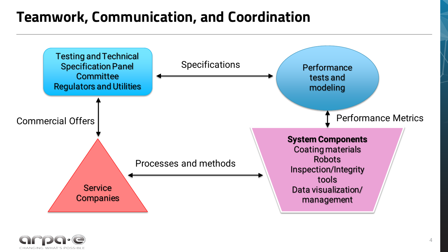### **Teamwork, Communication, and Coordination**



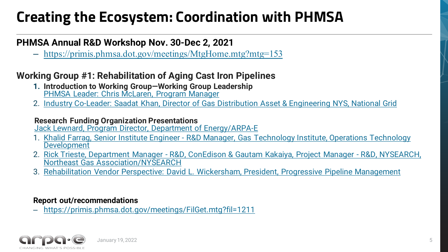## **Creating the Ecosystem: Coordination with PHMSA**

#### **PHMSA Annual R&D Workshop Nov. 30-Dec 2, 2021**

– <https://primis.phmsa.dot.gov/meetings/MtgHome.mtg?mtg=153>

#### **Working Group #1: Rehabilitation of Aging Cast Iron Pipelines**

- **1. Introduction to Working Group—Working Group Leadership** [PHMSA Leader: Chris McLaren, Program Manager](https://primis.phmsa.dot.gov/meetings/FilGet.mtg?fil=1218)
- 2. [Industry Co-Leader: Saadat Khan, Director of Gas Distribution Asset & Engineering NYS, National Grid](https://primis.phmsa.dot.gov/meetings/FilGet.mtg?fil=1219)

#### **Research Funding Organization Presentations**

[Jack Lewnard, Program Director, Department of Energy/ARPA-E](https://primis.phmsa.dot.gov/meetings/FilGet.mtg?fil=1220)

- 1. Khalid Farrag, Senior Institute Engineer [R&D Manager, Gas Technology Institute, Operations Technology Development](https://primis.phmsa.dot.gov/meetings/FilGet.mtg?fil=1221)
- 2. Rick Trieste, Department Manager [R&D, ConEdison & Gautam Kakaiya, Project Manager -](https://primis.phmsa.dot.gov/meetings/FilGet.mtg?fil=1222) R&D, NYSEARCH, Northeast Gas Association/NYSEARCH
- 3. [Rehabilitation Vendor Perspective: David L. Wickersham, President, Progressive Pipeline Management](https://primis.phmsa.dot.gov/meetings/FilGet.mtg?fil=1223)

#### **Report out/recommendations**

– <https://primis.phmsa.dot.gov/meetings/FilGet.mtg?fil=1211>

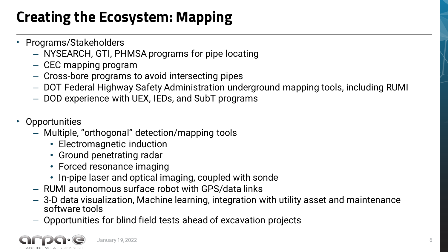## **Creating the Ecosystem: Mapping**

- ‣ Programs/Stakeholders
	- NYSEARCH, GTI, PHMSA programs for pipe locating
	- CEC mapping program
	- Cross-bore programs to avoid intersecting pipes
	- DOT Federal Highway Safety Administration underground mapping tools, including RUMI
	- DOD experience with UEX, IEDs, and SubT programs
- ‣ Opportunities
	- Multiple, "orthogonal" detection/mapping tools
		- Electromagnetic induction
		- Ground penetrating radar
		- Forced resonance imaging
		- In-pipe laser and optical imaging, coupled with sonde
	- RUMI autonomous surface robot with GPS/data links
	- 3-D data visualization, Machine learning, integration with utility asset and maintenance software tools
	- Opportunities for blind field tests ahead of excavation projects



January 19, 2022 6